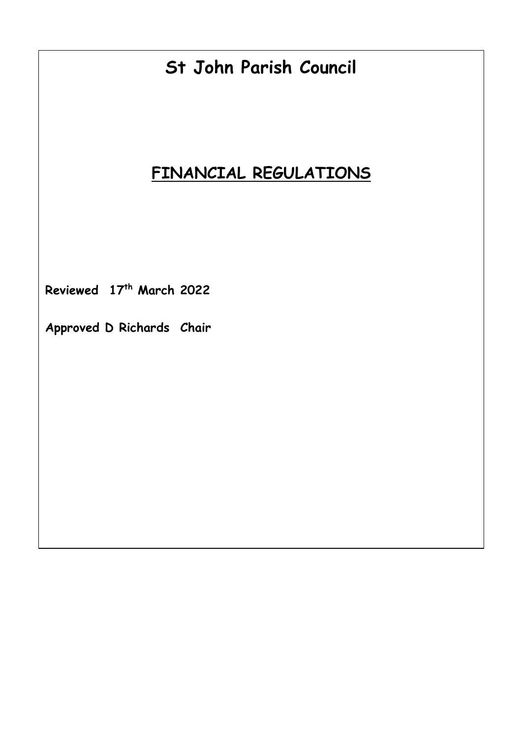# **St John Parish Council**

# **FINANCIAL REGULATIONS**

**Reviewed 17th March 2022**

**Approved D Richards Chair**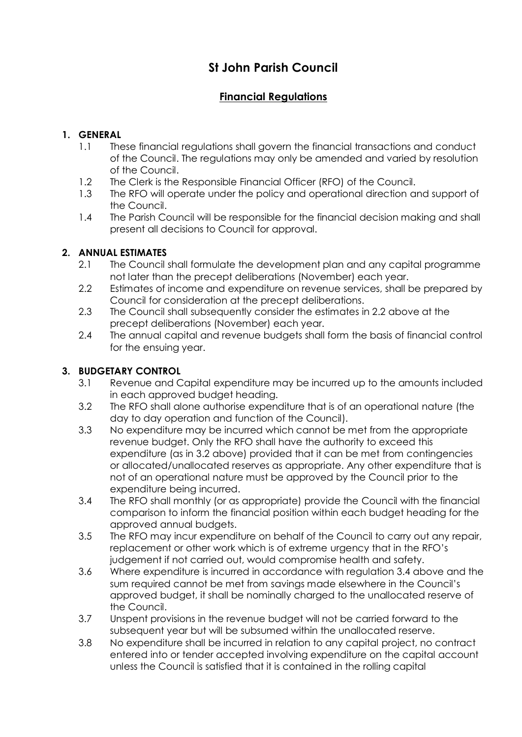# **St John Parish Council**

# **Financial Regulations**

### **1. GENERAL**

- 1.1 These financial regulations shall govern the financial transactions and conduct of the Council. The regulations may only be amended and varied by resolution of the Council.
- 1.2 The Clerk is the Responsible Financial Officer (RFO) of the Council.
- 1.3 The RFO will operate under the policy and operational direction and support of the Council.
- 1.4 The Parish Council will be responsible for the financial decision making and shall present all decisions to Council for approval.

#### **2. ANNUAL ESTIMATES**

- 2.1 The Council shall formulate the development plan and any capital programme not later than the precept deliberations (November) each year.
- 2.2 Estimates of income and expenditure on revenue services, shall be prepared by Council for consideration at the precept deliberations.
- 2.3 The Council shall subsequently consider the estimates in 2.2 above at the precept deliberations (November) each year.
- 2.4 The annual capital and revenue budgets shall form the basis of financial control for the ensuing year.

### **3. BUDGETARY CONTROL**

- 3.1 Revenue and Capital expenditure may be incurred up to the amounts included in each approved budget heading.
- 3.2 The RFO shall alone authorise expenditure that is of an operational nature (the day to day operation and function of the Council).
- 3.3 No expenditure may be incurred which cannot be met from the appropriate revenue budget. Only the RFO shall have the authority to exceed this expenditure (as in 3.2 above) provided that it can be met from contingencies or allocated/unallocated reserves as appropriate. Any other expenditure that is not of an operational nature must be approved by the Council prior to the expenditure being incurred.
- 3.4 The RFO shall monthly (or as appropriate) provide the Council with the financial comparison to inform the financial position within each budget heading for the approved annual budgets.
- 3.5 The RFO may incur expenditure on behalf of the Council to carry out any repair, replacement or other work which is of extreme urgency that in the RFO's judgement if not carried out, would compromise health and safety.
- 3.6 Where expenditure is incurred in accordance with regulation 3.4 above and the sum required cannot be met from savings made elsewhere in the Council's approved budget, it shall be nominally charged to the unallocated reserve of the Council.
- 3.7 Unspent provisions in the revenue budget will not be carried forward to the subsequent year but will be subsumed within the unallocated reserve.
- 3.8 No expenditure shall be incurred in relation to any capital project, no contract entered into or tender accepted involving expenditure on the capital account unless the Council is satisfied that it is contained in the rolling capital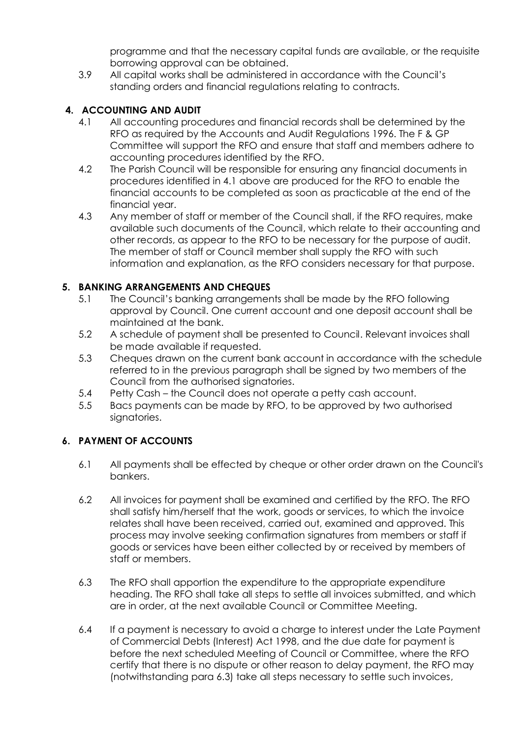programme and that the necessary capital funds are available, or the requisite borrowing approval can be obtained.

3.9 All capital works shall be administered in accordance with the Council's standing orders and financial regulations relating to contracts.

# **4. ACCOUNTING AND AUDIT**

- 4.1 All accounting procedures and financial records shall be determined by the RFO as required by the Accounts and Audit Regulations 1996. The F & GP Committee will support the RFO and ensure that staff and members adhere to accounting procedures identified by the RFO.
- 4.2 The Parish Council will be responsible for ensuring any financial documents in procedures identified in 4.1 above are produced for the RFO to enable the financial accounts to be completed as soon as practicable at the end of the financial year.
- 4.3 Any member of staff or member of the Council shall, if the RFO requires, make available such documents of the Council, which relate to their accounting and other records, as appear to the RFO to be necessary for the purpose of audit. The member of staff or Council member shall supply the RFO with such information and explanation, as the RFO considers necessary for that purpose.

# **5. BANKING ARRANGEMENTS AND CHEQUES**

- 5.1 The Council's banking arrangements shall be made by the RFO following approval by Council. One current account and one deposit account shall be maintained at the bank.
- 5.2 A schedule of payment shall be presented to Council. Relevant invoices shall be made available if requested.
- 5.3 Cheques drawn on the current bank account in accordance with the schedule referred to in the previous paragraph shall be signed by two members of the Council from the authorised signatories.
- 5.4 Petty Cash the Council does not operate a petty cash account.
- 5.5 Bacs payments can be made by RFO, to be approved by two authorised signatories.

## **6. PAYMENT OF ACCOUNTS**

- 6.1 All payments shall be effected by cheque or other order drawn on the Council's bankers.
- 6.2 All invoices for payment shall be examined and certified by the RFO. The RFO shall satisfy him/herself that the work, goods or services, to which the invoice relates shall have been received, carried out, examined and approved. This process may involve seeking confirmation signatures from members or staff if goods or services have been either collected by or received by members of staff or members.
- 6.3 The RFO shall apportion the expenditure to the appropriate expenditure heading. The RFO shall take all steps to settle all invoices submitted, and which are in order, at the next available Council or Committee Meeting.
- 6.4 If a payment is necessary to avoid a charge to interest under the Late Payment of Commercial Debts (Interest) Act 1998, and the due date for payment is before the next scheduled Meeting of Council or Committee, where the RFO certify that there is no dispute or other reason to delay payment, the RFO may (notwithstanding para 6.3) take all steps necessary to settle such invoices,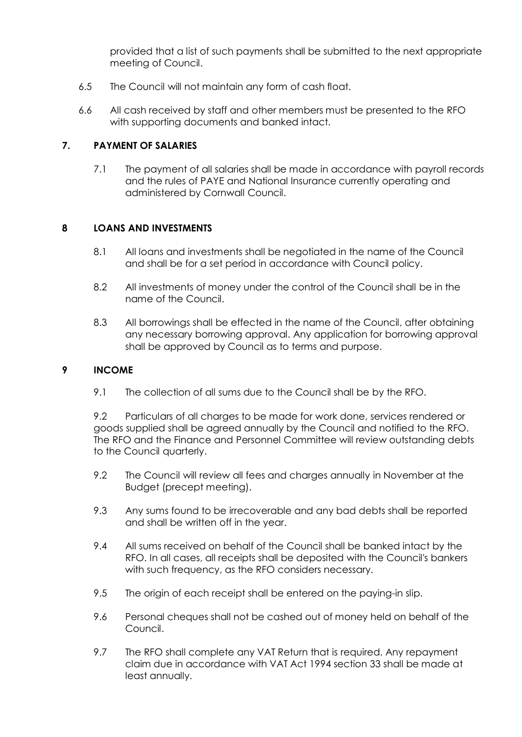provided that a list of such payments shall be submitted to the next appropriate meeting of Council.

- 6.5 The Council will not maintain any form of cash float.
- 6.6 All cash received by staff and other members must be presented to the RFO with supporting documents and banked intact.

#### **7. PAYMENT OF SALARIES**

7.1 The payment of all salaries shall be made in accordance with payroll records and the rules of PAYE and National Insurance currently operating and administered by Cornwall Council.

#### **8 LOANS AND INVESTMENTS**

- 8.1 All loans and investments shall be negotiated in the name of the Council and shall be for a set period in accordance with Council policy.
- 8.2 All investments of money under the control of the Council shall be in the name of the Council.
- 8.3 All borrowings shall be effected in the name of the Council, after obtaining any necessary borrowing approval. Any application for borrowing approval shall be approved by Council as to terms and purpose.

#### **9 INCOME**

9.1 The collection of all sums due to the Council shall be by the RFO.

9.2 Particulars of all charges to be made for work done, services rendered or goods supplied shall be agreed annually by the Council and notified to the RFO. The RFO and the Finance and Personnel Committee will review outstanding debts to the Council quarterly.

- 9.2 The Council will review all fees and charges annually in November at the Budget (precept meeting).
- 9.3 Any sums found to be irrecoverable and any bad debts shall be reported and shall be written off in the year.
- 9.4 All sums received on behalf of the Council shall be banked intact by the RFO. In all cases, all receipts shall be deposited with the Council's bankers with such frequency, as the RFO considers necessary.
- 9.5 The origin of each receipt shall be entered on the paying-in slip.
- 9.6 Personal cheques shall not be cashed out of money held on behalf of the Council.
- 9.7 The RFO shall complete any VAT Return that is required. Any repayment claim due in accordance with VAT Act 1994 section 33 shall be made at least annually.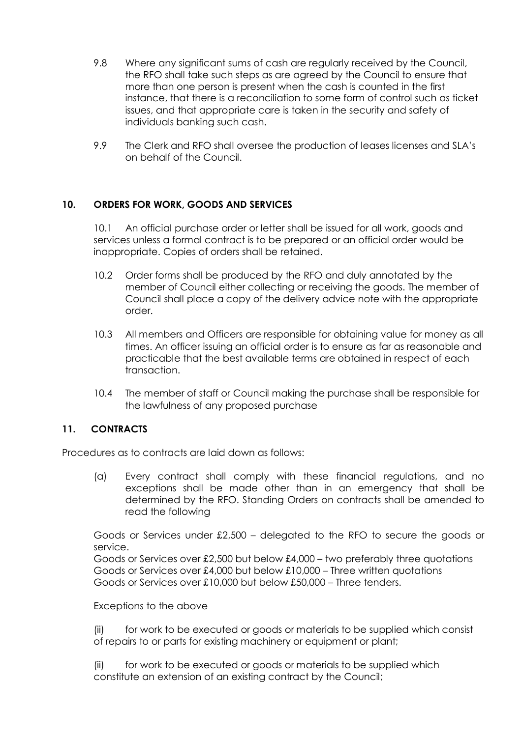- 9.8 Where any significant sums of cash are regularly received by the Council, the RFO shall take such steps as are agreed by the Council to ensure that more than one person is present when the cash is counted in the first instance, that there is a reconciliation to some form of control such as ticket issues, and that appropriate care is taken in the security and safety of individuals banking such cash.
- 9.9 The Clerk and RFO shall oversee the production of leases licenses and SLA's on behalf of the Council.

#### **10. ORDERS FOR WORK, GOODS AND SERVICES**

10.1 An official purchase order or letter shall be issued for all work, goods and services unless a formal contract is to be prepared or an official order would be inappropriate. Copies of orders shall be retained.

- 10.2 Order forms shall be produced by the RFO and duly annotated by the member of Council either collecting or receiving the goods. The member of Council shall place a copy of the delivery advice note with the appropriate order.
- 10.3 All members and Officers are responsible for obtaining value for money as all times. An officer issuing an official order is to ensure as far as reasonable and practicable that the best available terms are obtained in respect of each transaction.
- 10.4 The member of staff or Council making the purchase shall be responsible for the lawfulness of any proposed purchase

#### **11. CONTRACTS**

Procedures as to contracts are laid down as follows:

(a) Every contract shall comply with these financial regulations, and no exceptions shall be made other than in an emergency that shall be determined by the RFO. Standing Orders on contracts shall be amended to read the following

Goods or Services under £2,500 – delegated to the RFO to secure the goods or service.

Goods or Services over £2,500 but below £4,000 – two preferably three quotations Goods or Services over £4,000 but below £10,000 – Three written quotations Goods or Services over £10,000 but below £50,000 – Three tenders.

Exceptions to the above

(ii) for work to be executed or goods or materials to be supplied which consist of repairs to or parts for existing machinery or equipment or plant;

(ii) for work to be executed or goods or materials to be supplied which constitute an extension of an existing contract by the Council;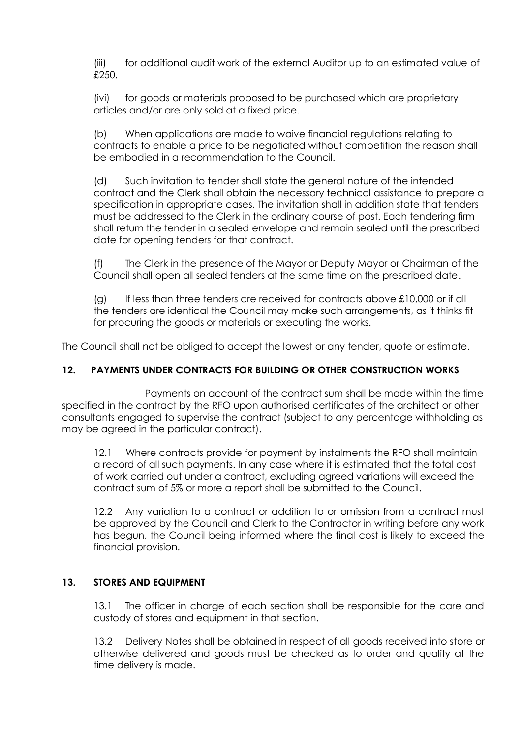(iii) for additional audit work of the external Auditor up to an estimated value of £250.

(ivi) for goods or materials proposed to be purchased which are proprietary articles and/or are only sold at a fixed price.

(b) When applications are made to waive financial regulations relating to contracts to enable a price to be negotiated without competition the reason shall be embodied in a recommendation to the Council.

(d) Such invitation to tender shall state the general nature of the intended contract and the Clerk shall obtain the necessary technical assistance to prepare a specification in appropriate cases. The invitation shall in addition state that tenders must be addressed to the Clerk in the ordinary course of post. Each tendering firm shall return the tender in a sealed envelope and remain sealed until the prescribed date for opening tenders for that contract.

(f) The Clerk in the presence of the Mayor or Deputy Mayor or Chairman of the Council shall open all sealed tenders at the same time on the prescribed date.

(g) If less than three tenders are received for contracts above £10,000 or if all the tenders are identical the Council may make such arrangements, as it thinks fit for procuring the goods or materials or executing the works.

The Council shall not be obliged to accept the lowest or any tender, quote or estimate.

#### **12. PAYMENTS UNDER CONTRACTS FOR BUILDING OR OTHER CONSTRUCTION WORKS**

 Payments on account of the contract sum shall be made within the time specified in the contract by the RFO upon authorised certificates of the architect or other consultants engaged to supervise the contract (subject to any percentage withholding as may be agreed in the particular contract).

12.1 Where contracts provide for payment by instalments the RFO shall maintain a record of all such payments. In any case where it is estimated that the total cost of work carried out under a contract, excluding agreed variations will exceed the contract sum of 5% or more a report shall be submitted to the Council.

12.2 Any variation to a contract or addition to or omission from a contract must be approved by the Council and Clerk to the Contractor in writing before any work has begun, the Council being informed where the final cost is likely to exceed the financial provision.

#### **13. STORES AND EQUIPMENT**

13.1 The officer in charge of each section shall be responsible for the care and custody of stores and equipment in that section.

13.2 Delivery Notes shall be obtained in respect of all goods received into store or otherwise delivered and goods must be checked as to order and quality at the time delivery is made.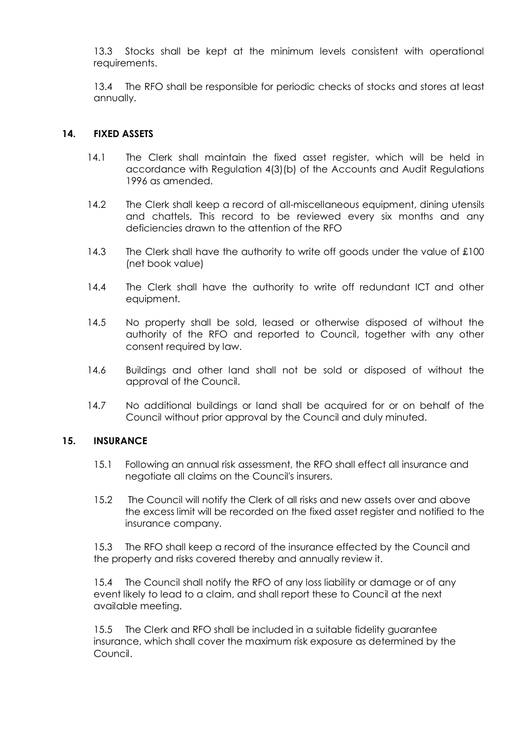13.3 Stocks shall be kept at the minimum levels consistent with operational requirements.

13.4 The RFO shall be responsible for periodic checks of stocks and stores at least annually.

#### **14. FIXED ASSETS**

- 14.1 The Clerk shall maintain the fixed asset register, which will be held in accordance with Regulation 4(3)(b) of the Accounts and Audit Regulations 1996 as amended.
- 14.2 The Clerk shall keep a record of all-miscellaneous equipment, dining utensils and chattels. This record to be reviewed every six months and any deficiencies drawn to the attention of the RFO
- 14.3 The Clerk shall have the authority to write off goods under the value of £100 (net book value)
- 14.4 The Clerk shall have the authority to write off redundant ICT and other equipment.
- 14.5 No property shall be sold, leased or otherwise disposed of without the authority of the RFO and reported to Council, together with any other consent required by law.
- 14.6 Buildings and other land shall not be sold or disposed of without the approval of the Council.
- 14.7 No additional buildings or land shall be acquired for or on behalf of the Council without prior approval by the Council and duly minuted.

#### **15. INSURANCE**

- 15.1 Following an annual risk assessment, the RFO shall effect all insurance and negotiate all claims on the Council's insurers.
- 15.2 The Council will notify the Clerk of all risks and new assets over and above the excess limit will be recorded on the fixed asset register and notified to the insurance company.

15.3 The RFO shall keep a record of the insurance effected by the Council and the property and risks covered thereby and annually review it.

15.4 The Council shall notify the RFO of any loss liability or damage or of any event likely to lead to a claim, and shall report these to Council at the next available meeting.

15.5 The Clerk and RFO shall be included in a suitable fidelity guarantee insurance, which shall cover the maximum risk exposure as determined by the Council.